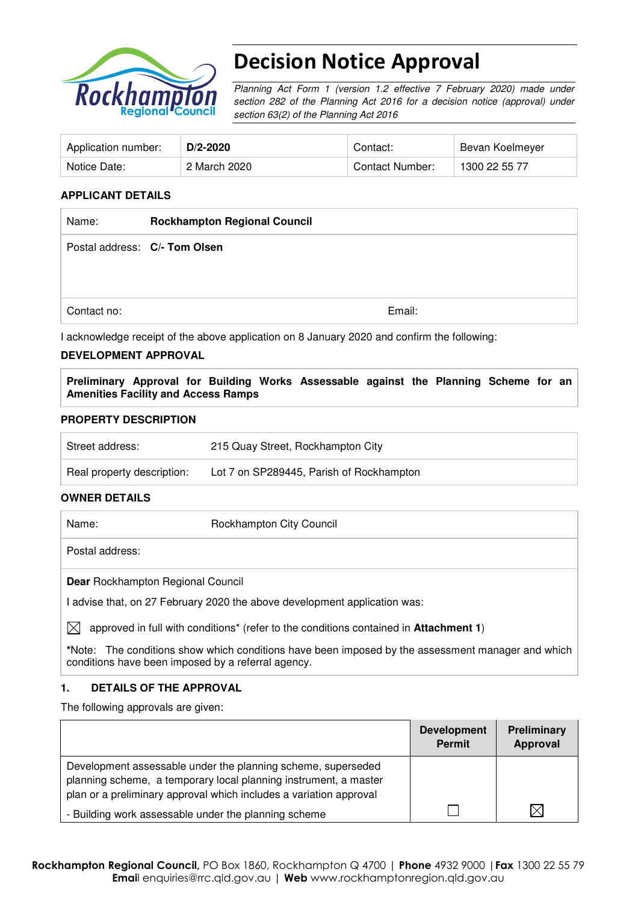

# Decision Notice Approval

Planning Act Form 1 (version 1.2 effective 7 February 2020) made under section 282 of the Planning Act 2016 for a decision notice (approval) under section 63(2) of the Planning Act 2016

| Application number: | $D/2 - 2020$ | Contact:        | Bevan Koelmeyer |
|---------------------|--------------|-----------------|-----------------|
| Notice Date:        | 2 March 2020 | Contact Number: | 1300 22 55 77   |

#### **APPLICANT DETAILS**

| Name:       | <b>Rockhampton Regional Council</b> |        |
|-------------|-------------------------------------|--------|
|             | Postal address: C/- Tom Olsen       |        |
|             |                                     |        |
|             |                                     |        |
| Contact no: |                                     | Email: |

I acknowledge receipt of the above application on 8 January 2020 and confirm the following:

#### **DEVELOPMENT APPROVAL**

**Preliminary Approval for Building Works Assessable against the Planning Scheme for an Amenities Facility and Access Ramps** 

#### **PROPERTY DESCRIPTION**

| Street address:            | 215 Quay Street, Rockhampton City        |
|----------------------------|------------------------------------------|
| Real property description: | Lot 7 on SP289445, Parish of Rockhampton |

#### **OWNER DETAILS**

Name: Rockhampton City Council

Postal address:

**Dear** Rockhampton Regional Council

I advise that, on 27 February 2020 the above development application was:

 $\boxtimes$  approved in full with conditions<sup>\*</sup> (refer to the conditions contained in **Attachment 1**)

**\***Note:The conditions show which conditions have been imposed by the assessment manager and which conditions have been imposed by a referral agency.

#### **1. DETAILS OF THE APPROVAL**

The following approvals are given:

|                                                                                                                                                                                                        | <b>Development</b><br>Permit | <b>Preliminary</b><br>Approval |
|--------------------------------------------------------------------------------------------------------------------------------------------------------------------------------------------------------|------------------------------|--------------------------------|
| Development assessable under the planning scheme, superseded<br>planning scheme, a temporary local planning instrument, a master<br>plan or a preliminary approval which includes a variation approval |                              |                                |
| - Building work assessable under the planning scheme                                                                                                                                                   |                              |                                |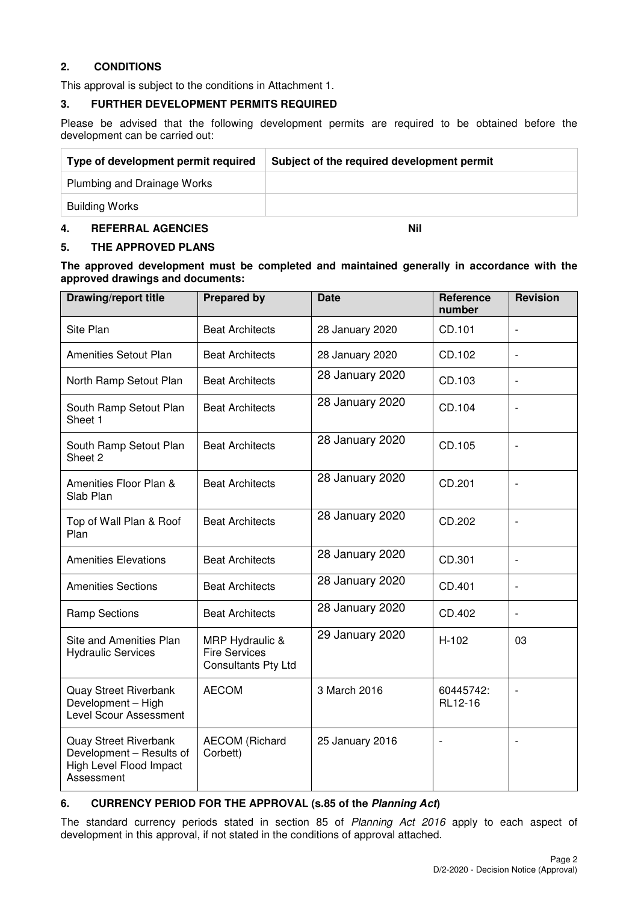# **2. CONDITIONS**

This approval is subject to the conditions in Attachment 1.

#### **3. FURTHER DEVELOPMENT PERMITS REQUIRED**

Please be advised that the following development permits are required to be obtained before the development can be carried out:

| Type of development permit required | Subject of the required development permit |
|-------------------------------------|--------------------------------------------|
| Plumbing and Drainage Works         |                                            |
| <b>Building Works</b>               |                                            |
|                                     |                                            |

### **4. REFERRAL AGENCIES Nil**

#### **5. THE APPROVED PLANS**

#### **The approved development must be completed and maintained generally in accordance with the approved drawings and documents:**

| Drawing/report title                                                                              | <b>Prepared by</b>                                             | <b>Date</b>     | Reference<br>number  | <b>Revision</b>          |
|---------------------------------------------------------------------------------------------------|----------------------------------------------------------------|-----------------|----------------------|--------------------------|
| Site Plan                                                                                         | <b>Beat Architects</b>                                         | 28 January 2020 | CD.101               |                          |
| Amenities Setout Plan                                                                             | <b>Beat Architects</b>                                         | 28 January 2020 | CD.102               | $\overline{a}$           |
| North Ramp Setout Plan                                                                            | <b>Beat Architects</b>                                         | 28 January 2020 | CD.103               | $\frac{1}{2}$            |
| South Ramp Setout Plan<br>Sheet 1                                                                 | <b>Beat Architects</b>                                         | 28 January 2020 | CD.104               | $\overline{\phantom{a}}$ |
| South Ramp Setout Plan<br>Sheet 2                                                                 | <b>Beat Architects</b>                                         | 28 January 2020 | CD.105               | $\overline{\phantom{0}}$ |
| Amenities Floor Plan &<br>Slab Plan                                                               | <b>Beat Architects</b>                                         | 28 January 2020 | CD.201               | $\overline{a}$           |
| Top of Wall Plan & Roof<br>Plan                                                                   | <b>Beat Architects</b>                                         | 28 January 2020 | CD.202               | $\frac{1}{2}$            |
| <b>Amenities Elevations</b>                                                                       | <b>Beat Architects</b>                                         | 28 January 2020 | CD.301               | $\overline{\phantom{0}}$ |
| <b>Amenities Sections</b>                                                                         | <b>Beat Architects</b>                                         | 28 January 2020 | CD.401               | $\overline{\phantom{0}}$ |
| <b>Ramp Sections</b>                                                                              | <b>Beat Architects</b>                                         | 28 January 2020 | CD.402               | $\overline{\phantom{0}}$ |
| Site and Amenities Plan<br><b>Hydraulic Services</b>                                              | MRP Hydraulic &<br><b>Fire Services</b><br>Consultants Pty Ltd | 29 January 2020 | H-102                | 03                       |
| <b>Quay Street Riverbank</b><br>Development - High<br>Level Scour Assessment                      | <b>AECOM</b>                                                   | 3 March 2016    | 60445742:<br>RL12-16 | $\overline{\phantom{0}}$ |
| <b>Quay Street Riverbank</b><br>Development - Results of<br>High Level Flood Impact<br>Assessment | <b>AECOM (Richard</b><br>Corbett)                              | 25 January 2016 |                      |                          |

# **6. CURRENCY PERIOD FOR THE APPROVAL (s.85 of the Planning Act)**

The standard currency periods stated in section 85 of Planning Act 2016 apply to each aspect of development in this approval, if not stated in the conditions of approval attached.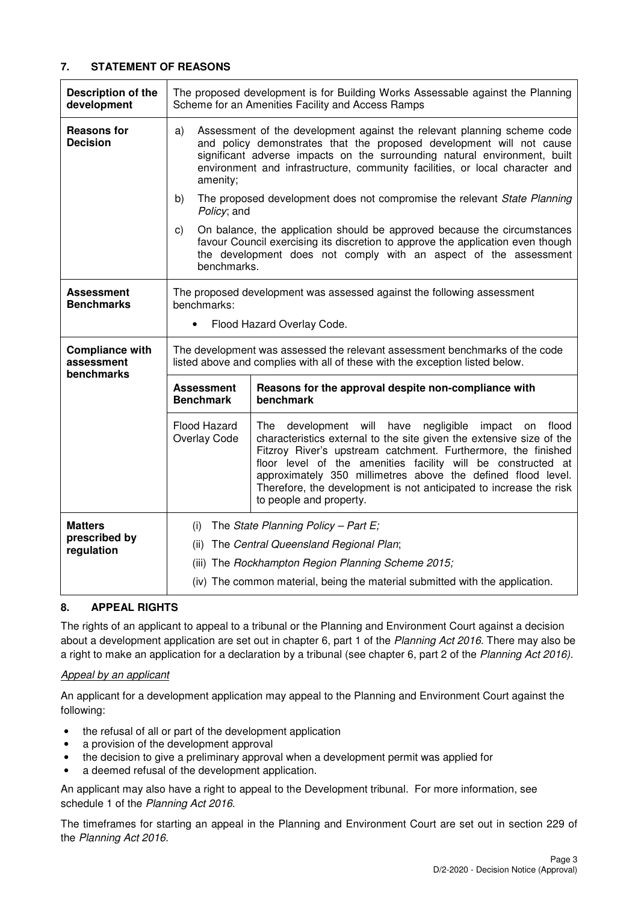# **7. STATEMENT OF REASONS**

| Description of the<br>development      |                                                                                                                                                             | The proposed development is for Building Works Assessable against the Planning<br>Scheme for an Amenities Facility and Access Ramps                                                                                                                                                                                                                                                                                                        |  |  |  |
|----------------------------------------|-------------------------------------------------------------------------------------------------------------------------------------------------------------|--------------------------------------------------------------------------------------------------------------------------------------------------------------------------------------------------------------------------------------------------------------------------------------------------------------------------------------------------------------------------------------------------------------------------------------------|--|--|--|
| <b>Reasons for</b><br><b>Decision</b>  | a)<br>amenity;                                                                                                                                              | Assessment of the development against the relevant planning scheme code<br>and policy demonstrates that the proposed development will not cause<br>significant adverse impacts on the surrounding natural environment, built<br>environment and infrastructure, community facilities, or local character and                                                                                                                               |  |  |  |
|                                        | b)<br>Policy; and                                                                                                                                           | The proposed development does not compromise the relevant State Planning                                                                                                                                                                                                                                                                                                                                                                   |  |  |  |
|                                        | C)<br>benchmarks.                                                                                                                                           | On balance, the application should be approved because the circumstances<br>favour Council exercising its discretion to approve the application even though<br>the development does not comply with an aspect of the assessment                                                                                                                                                                                                            |  |  |  |
| <b>Assessment</b><br><b>Benchmarks</b> | benchmarks:<br>$\bullet$                                                                                                                                    | The proposed development was assessed against the following assessment<br>Flood Hazard Overlay Code.                                                                                                                                                                                                                                                                                                                                       |  |  |  |
| <b>Compliance with</b><br>assessment   | The development was assessed the relevant assessment benchmarks of the code<br>listed above and complies with all of these with the exception listed below. |                                                                                                                                                                                                                                                                                                                                                                                                                                            |  |  |  |
|                                        | <b>Assessment</b><br>Reasons for the approval despite non-compliance with<br>benchmark<br><b>Benchmark</b>                                                  |                                                                                                                                                                                                                                                                                                                                                                                                                                            |  |  |  |
| benchmarks                             |                                                                                                                                                             |                                                                                                                                                                                                                                                                                                                                                                                                                                            |  |  |  |
|                                        | Flood Hazard<br>Overlay Code                                                                                                                                | development will have<br>negligible<br>The<br>impact on<br>flood<br>characteristics external to the site given the extensive size of the<br>Fitzroy River's upstream catchment. Furthermore, the finished<br>floor level of the amenities facility will be constructed at<br>approximately 350 millimetres above the defined flood level.<br>Therefore, the development is not anticipated to increase the risk<br>to people and property. |  |  |  |
| <b>Matters</b>                         | (i)                                                                                                                                                         | The State Planning Policy - Part E;                                                                                                                                                                                                                                                                                                                                                                                                        |  |  |  |
| prescribed by<br>regulation            | (ii)                                                                                                                                                        | The Central Queensland Regional Plan;                                                                                                                                                                                                                                                                                                                                                                                                      |  |  |  |
|                                        |                                                                                                                                                             | (iii) The Rockhampton Region Planning Scheme 2015;                                                                                                                                                                                                                                                                                                                                                                                         |  |  |  |

# **8. APPEAL RIGHTS**

The rights of an applicant to appeal to a tribunal or the Planning and Environment Court against a decision about a development application are set out in chapter 6, part 1 of the Planning Act 2016. There may also be a right to make an application for a declaration by a tribunal (see chapter 6, part 2 of the Planning Act 2016).

#### Appeal by an applicant

An applicant for a development application may appeal to the Planning and Environment Court against the following:

- the refusal of all or part of the development application
- a provision of the development approval
- the decision to give a preliminary approval when a development permit was applied for
- a deemed refusal of the development application.

An applicant may also have a right to appeal to the Development tribunal. For more information, see schedule 1 of the Planning Act 2016.

The timeframes for starting an appeal in the Planning and Environment Court are set out in section 229 of the Planning Act 2016.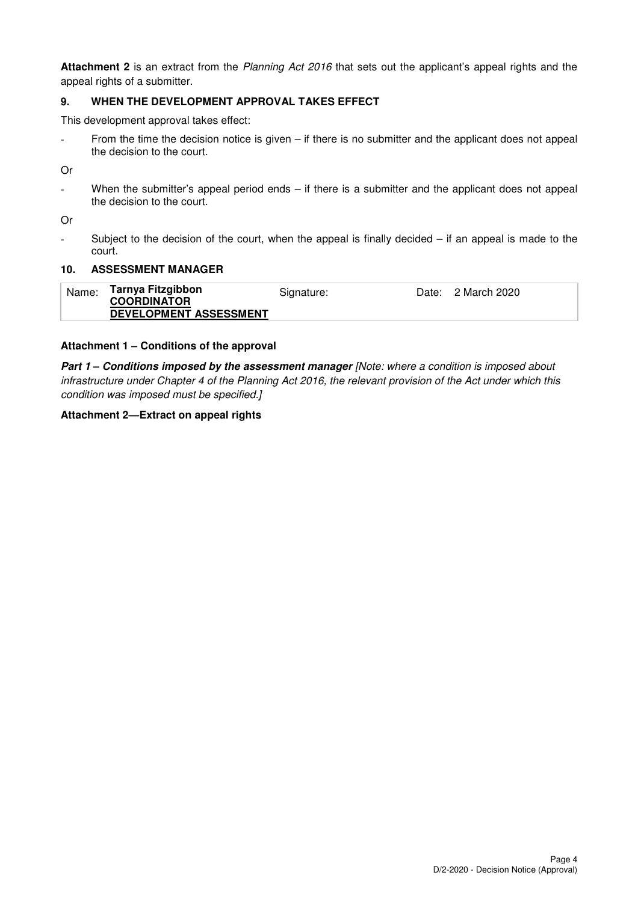**Attachment 2** is an extract from the Planning Act 2016 that sets out the applicant's appeal rights and the appeal rights of a submitter.

### **9. WHEN THE DEVELOPMENT APPROVAL TAKES EFFECT**

This development approval takes effect:

- From the time the decision notice is given – if there is no submitter and the applicant does not appeal the decision to the court.

Or

When the submitter's appeal period ends  $-$  if there is a submitter and the applicant does not appeal the decision to the court.

Or

- Subject to the decision of the court, when the appeal is finally decided – if an appeal is made to the court.

#### **10. ASSESSMENT MANAGER**

| Name: | Tarnya Fitzgibbon<br><b>COORDINATOR</b> | Signature: | Date: 2 March 2020 |
|-------|-----------------------------------------|------------|--------------------|
|       | DEVELOPMENT ASSESSMENT                  |            |                    |

#### **Attachment 1 – Conditions of the approval**

**Part 1 – Conditions imposed by the assessment manager [Note: where a condition is imposed about** infrastructure under Chapter 4 of the Planning Act 2016, the relevant provision of the Act under which this condition was imposed must be specified.]

#### **Attachment 2—Extract on appeal rights**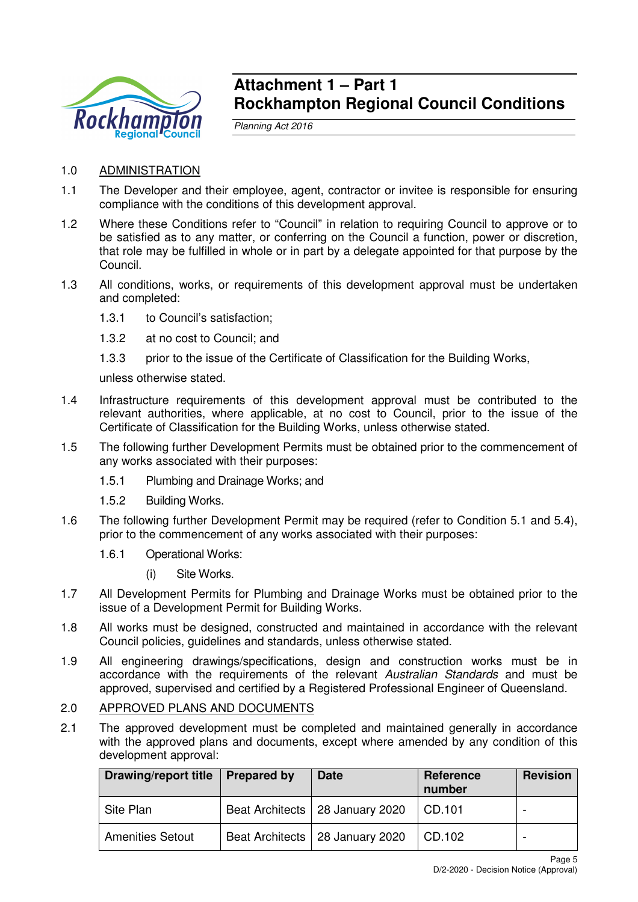

# **Attachment 1 – Part 1 Rockhampton Regional Council Conditions**

Planning Act 2016

- 1.0 ADMINISTRATION
- 1.1 The Developer and their employee, agent, contractor or invitee is responsible for ensuring compliance with the conditions of this development approval.
- 1.2 Where these Conditions refer to "Council" in relation to requiring Council to approve or to be satisfied as to any matter, or conferring on the Council a function, power or discretion, that role may be fulfilled in whole or in part by a delegate appointed for that purpose by the Council.
- 1.3 All conditions, works, or requirements of this development approval must be undertaken and completed:
	- 1.3.1 to Council's satisfaction;
	- 1.3.2 at no cost to Council; and
	- 1.3.3 prior to the issue of the Certificate of Classification for the Building Works,

unless otherwise stated.

- 1.4 Infrastructure requirements of this development approval must be contributed to the relevant authorities, where applicable, at no cost to Council, prior to the issue of the Certificate of Classification for the Building Works, unless otherwise stated.
- 1.5 The following further Development Permits must be obtained prior to the commencement of any works associated with their purposes:
	- 1.5.1 Plumbing and Drainage Works; and
	- 1.5.2 Building Works.
- 1.6 The following further Development Permit may be required (refer to Condition 5.1 and 5.4), prior to the commencement of any works associated with their purposes:
	- 1.6.1 Operational Works:
		- (i) Site Works.
- 1.7 All Development Permits for Plumbing and Drainage Works must be obtained prior to the issue of a Development Permit for Building Works.
- 1.8 All works must be designed, constructed and maintained in accordance with the relevant Council policies, guidelines and standards, unless otherwise stated.
- 1.9 All engineering drawings/specifications, design and construction works must be in accordance with the requirements of the relevant Australian Standards and must be approved, supervised and certified by a Registered Professional Engineer of Queensland.

# 2.0 APPROVED PLANS AND DOCUMENTS

2.1 The approved development must be completed and maintained generally in accordance with the approved plans and documents, except where amended by any condition of this development approval:

| <b>Drawing/report title</b> | <b>Prepared by</b> | <b>Date</b>                       | Reference<br>number | <b>Revision</b> |
|-----------------------------|--------------------|-----------------------------------|---------------------|-----------------|
| Site Plan                   |                    | Beat Architects   28 January 2020 | CD.101              |                 |
| <b>Amenities Setout</b>     |                    | Beat Architects   28 January 2020 | CD.102              |                 |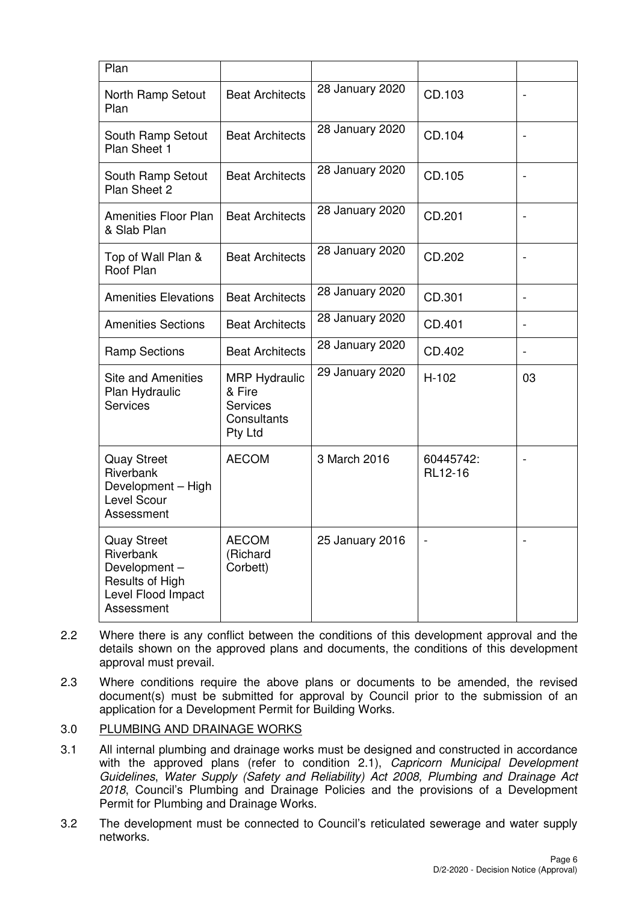| Plan                                                                                                   |                                                                                    |                 |                      |                              |
|--------------------------------------------------------------------------------------------------------|------------------------------------------------------------------------------------|-----------------|----------------------|------------------------------|
| North Ramp Setout<br>Plan                                                                              | <b>Beat Architects</b>                                                             | 28 January 2020 | CD.103               |                              |
| South Ramp Setout<br>Plan Sheet 1                                                                      | <b>Beat Architects</b>                                                             | 28 January 2020 | CD.104               | $\overline{a}$               |
| South Ramp Setout<br>Plan Sheet 2                                                                      | <b>Beat Architects</b>                                                             | 28 January 2020 | CD.105               | $\overline{a}$               |
| <b>Amenities Floor Plan</b><br>& Slab Plan                                                             | <b>Beat Architects</b>                                                             | 28 January 2020 | CD.201               |                              |
| Top of Wall Plan &<br>Roof Plan                                                                        | <b>Beat Architects</b>                                                             | 28 January 2020 | CD.202               |                              |
| <b>Amenities Elevations</b>                                                                            | <b>Beat Architects</b>                                                             | 28 January 2020 | CD.301               | $\qquad \qquad \blacksquare$ |
| <b>Amenities Sections</b>                                                                              | <b>Beat Architects</b>                                                             | 28 January 2020 | CD.401               | $\overline{\phantom{0}}$     |
| <b>Ramp Sections</b>                                                                                   | <b>Beat Architects</b>                                                             | 28 January 2020 | CD.402               | $\qquad \qquad \blacksquare$ |
| <b>Site and Amenities</b><br>Plan Hydraulic<br><b>Services</b>                                         | <b>MRP Hydraulic</b><br>& Fire<br><b>Services</b><br>Consultants<br><b>Pty Ltd</b> | 29 January 2020 | $H-102$              | 03                           |
| <b>Quay Street</b><br>Riverbank<br>Development - High<br>Level Scour<br>Assessment                     | <b>AECOM</b>                                                                       | 3 March 2016    | 60445742:<br>RL12-16 |                              |
| <b>Quay Street</b><br>Riverbank<br>Development-<br>Results of High<br>Level Flood Impact<br>Assessment | <b>AECOM</b><br>(Richard<br>Corbett)                                               | 25 January 2016 |                      |                              |

- 2.2 Where there is any conflict between the conditions of this development approval and the details shown on the approved plans and documents, the conditions of this development approval must prevail.
- 2.3 Where conditions require the above plans or documents to be amended, the revised document(s) must be submitted for approval by Council prior to the submission of an application for a Development Permit for Building Works.

# 3.0 PLUMBING AND DRAINAGE WORKS

- 3.1 All internal plumbing and drainage works must be designed and constructed in accordance with the approved plans (refer to condition 2.1), Capricorn Municipal Development Guidelines, Water Supply (Safety and Reliability) Act 2008, Plumbing and Drainage Act 2018, Council's Plumbing and Drainage Policies and the provisions of a Development Permit for Plumbing and Drainage Works.
- 3.2 The development must be connected to Council's reticulated sewerage and water supply networks.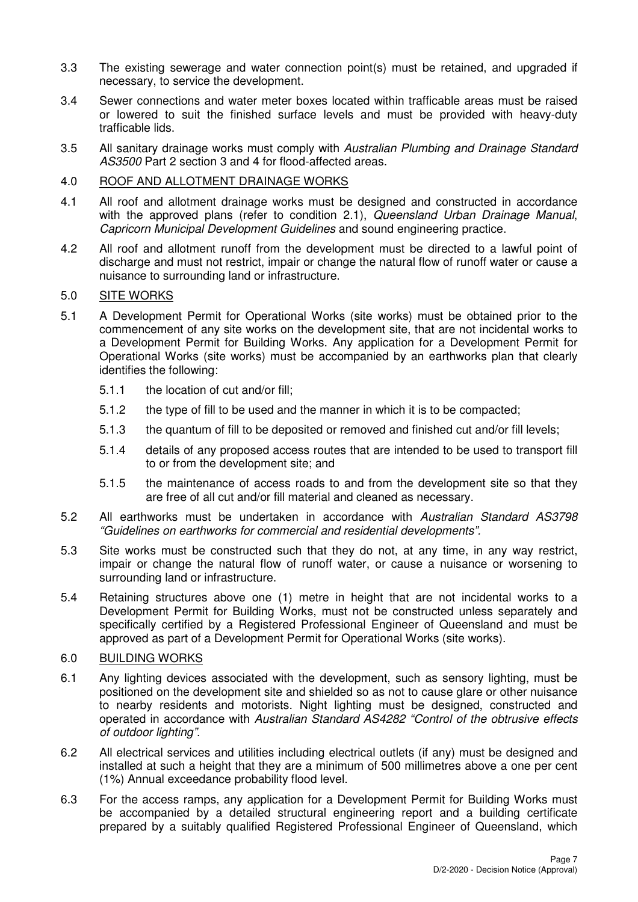- 3.3 The existing sewerage and water connection point(s) must be retained, and upgraded if necessary, to service the development.
- 3.4 Sewer connections and water meter boxes located within trafficable areas must be raised or lowered to suit the finished surface levels and must be provided with heavy-duty trafficable lids.
- 3.5 All sanitary drainage works must comply with Australian Plumbing and Drainage Standard AS3500 Part 2 section 3 and 4 for flood-affected areas.

#### 4.0 ROOF AND ALLOTMENT DRAINAGE WORKS

- 4.1 All roof and allotment drainage works must be designed and constructed in accordance with the approved plans (refer to condition 2.1), Queensland Urban Drainage Manual, Capricorn Municipal Development Guidelines and sound engineering practice.
- 4.2 All roof and allotment runoff from the development must be directed to a lawful point of discharge and must not restrict, impair or change the natural flow of runoff water or cause a nuisance to surrounding land or infrastructure.

#### 5.0 SITE WORKS

- 5.1 A Development Permit for Operational Works (site works) must be obtained prior to the commencement of any site works on the development site, that are not incidental works to a Development Permit for Building Works. Any application for a Development Permit for Operational Works (site works) must be accompanied by an earthworks plan that clearly identifies the following:
	- 5.1.1 the location of cut and/or fill;
	- 5.1.2 the type of fill to be used and the manner in which it is to be compacted;
	- 5.1.3 the quantum of fill to be deposited or removed and finished cut and/or fill levels;
	- 5.1.4 details of any proposed access routes that are intended to be used to transport fill to or from the development site; and
	- 5.1.5 the maintenance of access roads to and from the development site so that they are free of all cut and/or fill material and cleaned as necessary.
- 5.2 All earthworks must be undertaken in accordance with Australian Standard AS3798 "Guidelines on earthworks for commercial and residential developments".
- 5.3 Site works must be constructed such that they do not, at any time, in any way restrict, impair or change the natural flow of runoff water, or cause a nuisance or worsening to surrounding land or infrastructure.
- 5.4 Retaining structures above one (1) metre in height that are not incidental works to a Development Permit for Building Works, must not be constructed unless separately and specifically certified by a Registered Professional Engineer of Queensland and must be approved as part of a Development Permit for Operational Works (site works).

# 6.0 BUILDING WORKS

- 6.1 Any lighting devices associated with the development, such as sensory lighting, must be positioned on the development site and shielded so as not to cause glare or other nuisance to nearby residents and motorists. Night lighting must be designed, constructed and operated in accordance with Australian Standard AS4282 "Control of the obtrusive effects of outdoor lighting".
- 6.2 All electrical services and utilities including electrical outlets (if any) must be designed and installed at such a height that they are a minimum of 500 millimetres above a one per cent (1%) Annual exceedance probability flood level.
- 6.3 For the access ramps, any application for a Development Permit for Building Works must be accompanied by a detailed structural engineering report and a building certificate prepared by a suitably qualified Registered Professional Engineer of Queensland, which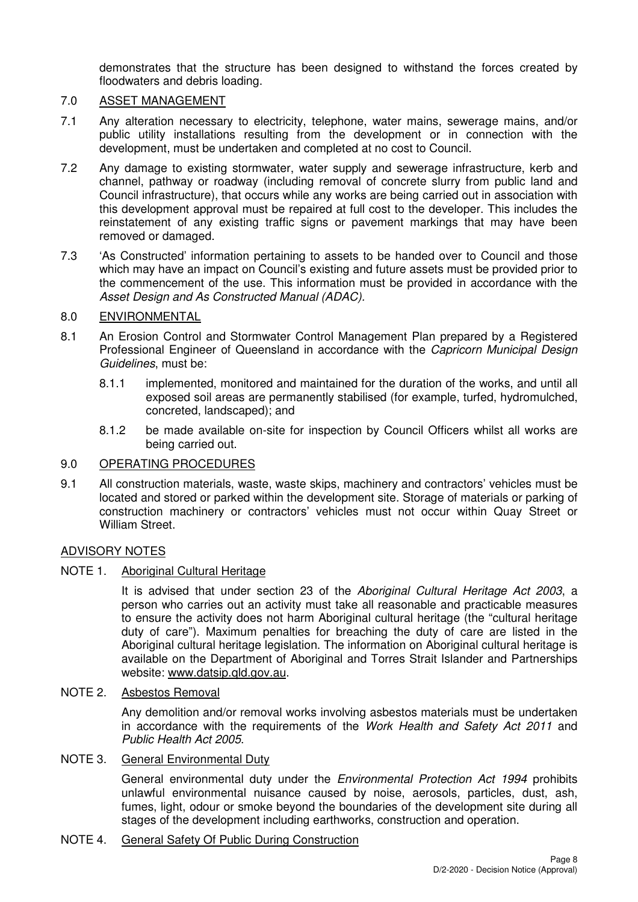demonstrates that the structure has been designed to withstand the forces created by floodwaters and debris loading.

# 7.0 ASSET MANAGEMENT

- 7.1 Any alteration necessary to electricity, telephone, water mains, sewerage mains, and/or public utility installations resulting from the development or in connection with the development, must be undertaken and completed at no cost to Council.
- 7.2 Any damage to existing stormwater, water supply and sewerage infrastructure, kerb and channel, pathway or roadway (including removal of concrete slurry from public land and Council infrastructure), that occurs while any works are being carried out in association with this development approval must be repaired at full cost to the developer. This includes the reinstatement of any existing traffic signs or pavement markings that may have been removed or damaged.
- 7.3 'As Constructed' information pertaining to assets to be handed over to Council and those which may have an impact on Council's existing and future assets must be provided prior to the commencement of the use. This information must be provided in accordance with the Asset Design and As Constructed Manual (ADAC).

# 8.0 ENVIRONMENTAL

- 8.1 An Erosion Control and Stormwater Control Management Plan prepared by a Registered Professional Engineer of Queensland in accordance with the Capricorn Municipal Design Guidelines, must be:
	- 8.1.1 implemented, monitored and maintained for the duration of the works, and until all exposed soil areas are permanently stabilised (for example, turfed, hydromulched, concreted, landscaped); and
	- 8.1.2 be made available on-site for inspection by Council Officers whilst all works are being carried out.

# 9.0 OPERATING PROCEDURES

9.1 All construction materials, waste, waste skips, machinery and contractors' vehicles must be located and stored or parked within the development site. Storage of materials or parking of construction machinery or contractors' vehicles must not occur within Quay Street or William Street.

# ADVISORY NOTES

# NOTE 1. Aboriginal Cultural Heritage

It is advised that under section 23 of the Aboriginal Cultural Heritage Act 2003, a person who carries out an activity must take all reasonable and practicable measures to ensure the activity does not harm Aboriginal cultural heritage (the "cultural heritage duty of care"). Maximum penalties for breaching the duty of care are listed in the Aboriginal cultural heritage legislation. The information on Aboriginal cultural heritage is available on the Department of Aboriginal and Torres Strait Islander and Partnerships website: www.datsip.qld.gov.au.

# NOTE 2. Asbestos Removal

Any demolition and/or removal works involving asbestos materials must be undertaken in accordance with the requirements of the Work Health and Safety Act 2011 and Public Health Act 2005.

# NOTE 3. General Environmental Duty

General environmental duty under the Environmental Protection Act 1994 prohibits unlawful environmental nuisance caused by noise, aerosols, particles, dust, ash, fumes, light, odour or smoke beyond the boundaries of the development site during all stages of the development including earthworks, construction and operation.

# NOTE 4. General Safety Of Public During Construction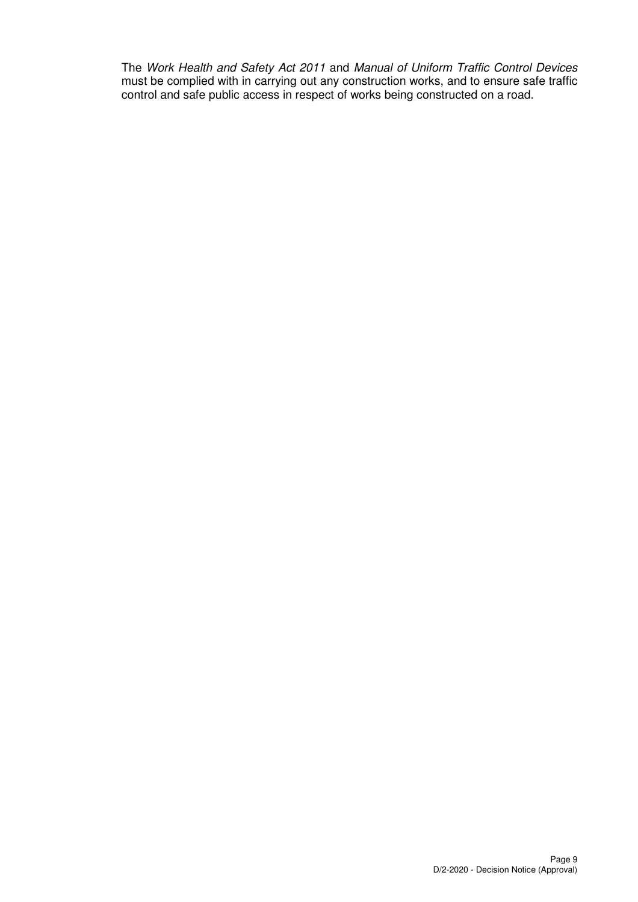The Work Health and Safety Act 2011 and Manual of Uniform Traffic Control Devices must be complied with in carrying out any construction works, and to ensure safe traffic control and safe public access in respect of works being constructed on a road.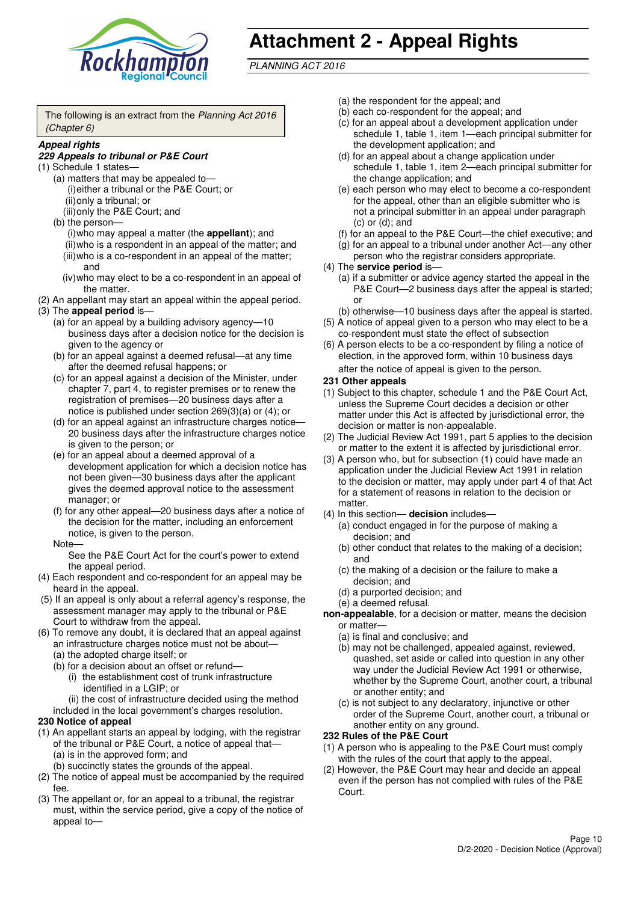

# **Attachment 2 - Appeal Rights**

PLANNING ACT 2016

The following is an extract from the Planning Act 2016 (Chapter 6)

#### **Appeal rights**

#### **229 Appeals to tribunal or P&E Court**

- (1) Schedule 1 states—
	- (a) matters that may be appealed to— (i) either a tribunal or the P&E Court; or (ii) only a tribunal; or
	- (iii) only the P&E Court; and (b) the person—

(i) who may appeal a matter (the **appellant**); and (ii) who is a respondent in an appeal of the matter; and (iii) who is a co-respondent in an appeal of the matter; and

- (iv) who may elect to be a co-respondent in an appeal of the matter.
- (2) An appellant may start an appeal within the appeal period.
- (3) The **appeal period** is—
	- (a) for an appeal by a building advisory agency—10 business days after a decision notice for the decision is given to the agency or
	- (b) for an appeal against a deemed refusal—at any time after the deemed refusal happens; or
	- (c) for an appeal against a decision of the Minister, under chapter 7, part 4, to register premises or to renew the registration of premises—20 business days after a notice is published under section 269(3)(a) or (4); or
	- (d) for an appeal against an infrastructure charges notice— 20 business days after the infrastructure charges notice is given to the person; or
	- (e) for an appeal about a deemed approval of a development application for which a decision notice has not been given—30 business days after the applicant gives the deemed approval notice to the assessment manager; or
	- (f) for any other appeal—20 business days after a notice of the decision for the matter, including an enforcement notice, is given to the person.

#### Note—

See the P&E Court Act for the court's power to extend the appeal period.

- (4) Each respondent and co-respondent for an appeal may be heard in the appeal.
- (5) If an appeal is only about a referral agency's response, the assessment manager may apply to the tribunal or P&E Court to withdraw from the appeal.
- (6) To remove any doubt, it is declared that an appeal against an infrastructure charges notice must not be about—
	- (a) the adopted charge itself; or
	- (b) for a decision about an offset or refund—
		- (i) the establishment cost of trunk infrastructure identified in a LGIP; or
		- (ii) the cost of infrastructure decided using the method

included in the local government's charges resolution.

- **230 Notice of appeal**
- (1) An appellant starts an appeal by lodging, with the registrar of the tribunal or P&E Court, a notice of appeal that—
	- (a) is in the approved form; and
	- (b) succinctly states the grounds of the appeal.
- (2) The notice of appeal must be accompanied by the required fee.
- (3) The appellant or, for an appeal to a tribunal, the registrar must, within the service period, give a copy of the notice of appeal to—
- (a) the respondent for the appeal; and
- (b) each co-respondent for the appeal; and
- (c) for an appeal about a development application under schedule 1, table 1, item 1—each principal submitter for the development application; and
- (d) for an appeal about a change application under schedule 1, table 1, item 2—each principal submitter for the change application; and
- (e) each person who may elect to become a co-respondent for the appeal, other than an eligible submitter who is not a principal submitter in an appeal under paragraph  $(c)$  or  $(d)$ ; and
- (f) for an appeal to the P&E Court—the chief executive; and
- (g) for an appeal to a tribunal under another Act—any other person who the registrar considers appropriate.
- (4) The **service period** is—
	- (a) if a submitter or advice agency started the appeal in the P&E Court-2 business days after the appeal is started; or
	- (b) otherwise—10 business days after the appeal is started.
- (5) A notice of appeal given to a person who may elect to be a co-respondent must state the effect of subsection
- (6) A person elects to be a co-respondent by filing a notice of election, in the approved form, within 10 business days after the notice of appeal is given to the person*.*
- **231 Other appeals**
- (1) Subject to this chapter, schedule 1 and the P&E Court Act, unless the Supreme Court decides a decision or other matter under this Act is affected by jurisdictional error, the decision or matter is non-appealable.
- (2) The Judicial Review Act 1991, part 5 applies to the decision or matter to the extent it is affected by jurisdictional error.
- (3) A person who, but for subsection (1) could have made an application under the Judicial Review Act 1991 in relation to the decision or matter, may apply under part 4 of that Act for a statement of reasons in relation to the decision or matter.
- (4) In this section— **decision** includes—
	- (a) conduct engaged in for the purpose of making a decision; and
	- (b) other conduct that relates to the making of a decision; and
	- (c) the making of a decision or the failure to make a decision; and
	- (d) a purported decision; and
	- (e) a deemed refusal.

**non-appealable**, for a decision or matter, means the decision or matter—

- (a) is final and conclusive; and
- (b) may not be challenged, appealed against, reviewed, quashed, set aside or called into question in any other way under the Judicial Review Act 1991 or otherwise, whether by the Supreme Court, another court, a tribunal or another entity; and
- (c) is not subject to any declaratory, injunctive or other order of the Supreme Court, another court, a tribunal or another entity on any ground.

#### **232 Rules of the P&E Court**

- (1) A person who is appealing to the P&E Court must comply with the rules of the court that apply to the appeal.
- (2) However, the P&E Court may hear and decide an appeal even if the person has not complied with rules of the P&E Court.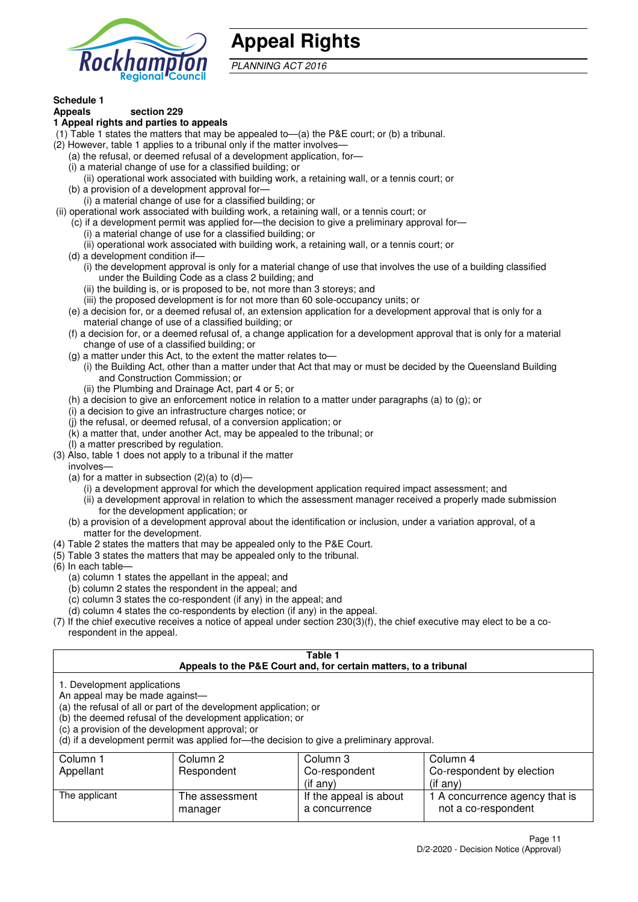

# **Appeal Rights**

PLANNING ACT 2016

# **Schedule 1**

#### **Appeals section 229 1 Appeal rights and parties to appeals**

- (1) Table 1 states the matters that may be appealed to—(a) the P&E court; or (b) a tribunal.
- (2) However, table 1 applies to a tribunal only if the matter involves—
	- (a) the refusal, or deemed refusal of a development application, for—
	- (i) a material change of use for a classified building; or
	- (ii) operational work associated with building work, a retaining wall, or a tennis court; or
	- (b) a provision of a development approval for—
	- (i) a material change of use for a classified building; or
- (ii) operational work associated with building work, a retaining wall, or a tennis court; or
	- (c) if a development permit was applied for—the decision to give a preliminary approval for— (i) a material change of use for a classified building; or
	- (ii) operational work associated with building work, a retaining wall, or a tennis court; or
	- (d) a development condition if—
		- (i) the development approval is only for a material change of use that involves the use of a building classified under the Building Code as a class 2 building; and
		- (ii) the building is, or is proposed to be, not more than 3 storeys; and
		- (iii) the proposed development is for not more than 60 sole-occupancy units; or
	- (e) a decision for, or a deemed refusal of, an extension application for a development approval that is only for a material change of use of a classified building; or
	- (f) a decision for, or a deemed refusal of, a change application for a development approval that is only for a material change of use of a classified building; or
	- (g) a matter under this Act, to the extent the matter relates to—
		- (i) the Building Act, other than a matter under that Act that may or must be decided by the Queensland Building and Construction Commission; or
		- (ii) the Plumbing and Drainage Act, part 4 or 5; or
	- (h) a decision to give an enforcement notice in relation to a matter under paragraphs (a) to (g); or
	- (i) a decision to give an infrastructure charges notice; or
	- (j) the refusal, or deemed refusal, of a conversion application; or
	- (k) a matter that, under another Act, may be appealed to the tribunal; or
	- (l) a matter prescribed by regulation.
- (3) Also, table 1 does not apply to a tribunal if the matter

involves—

- (a) for a matter in subsection  $(2)(a)$  to  $(d)$ 
	- (i) a development approval for which the development application required impact assessment; and
	- (ii) a development approval in relation to which the assessment manager received a properly made submission for the development application; or
- (b) a provision of a development approval about the identification or inclusion, under a variation approval, of a matter for the development.
- (4) Table 2 states the matters that may be appealed only to the P&E Court.
- (5) Table 3 states the matters that may be appealed only to the tribunal.
- (6) In each table—
	- (a) column 1 states the appellant in the appeal; and
	- (b) column 2 states the respondent in the appeal; and
	- (c) column 3 states the co-respondent (if any) in the appeal; and
	- (d) column 4 states the co-respondents by election (if any) in the appeal.
- (7) If the chief executive receives a notice of appeal under section 230(3)(f), the chief executive may elect to be a corespondent in the appeal.

| Table 1<br>Appeals to the P&E Court and, for certain matters, to a tribunal                                                                                                                                                                                                                                                                    |                            |                                         |                                                       |  |  |
|------------------------------------------------------------------------------------------------------------------------------------------------------------------------------------------------------------------------------------------------------------------------------------------------------------------------------------------------|----------------------------|-----------------------------------------|-------------------------------------------------------|--|--|
| 1. Development applications<br>An appeal may be made against-<br>(a) the refusal of all or part of the development application; or<br>(b) the deemed refusal of the development application; or<br>(c) a provision of the development approval; or<br>(d) if a development permit was applied for-the decision to give a preliminary approval. |                            |                                         |                                                       |  |  |
| Column 1                                                                                                                                                                                                                                                                                                                                       | Column 2                   | Column 3                                | Column 4                                              |  |  |
| Appellant                                                                                                                                                                                                                                                                                                                                      | Respondent                 | Co-respondent                           | Co-respondent by election                             |  |  |
|                                                                                                                                                                                                                                                                                                                                                | $(i$ f any)<br>$(i$ f any) |                                         |                                                       |  |  |
| The applicant                                                                                                                                                                                                                                                                                                                                  | The assessment<br>manager  | If the appeal is about<br>a concurrence | 1 A concurrence agency that is<br>not a co-respondent |  |  |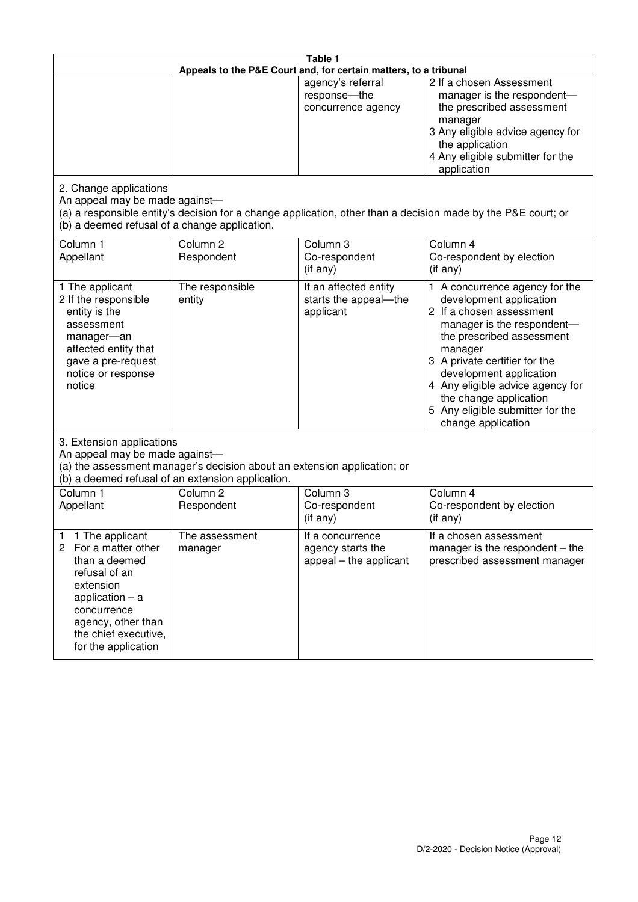| Table 1<br>Appeals to the P&E Court and, for certain matters, to a tribunal                                                                                                                             |                                                                                                                               |                                                                 |                                                                                                                                                                                                                                                                                                                                                 |  |
|---------------------------------------------------------------------------------------------------------------------------------------------------------------------------------------------------------|-------------------------------------------------------------------------------------------------------------------------------|-----------------------------------------------------------------|-------------------------------------------------------------------------------------------------------------------------------------------------------------------------------------------------------------------------------------------------------------------------------------------------------------------------------------------------|--|
|                                                                                                                                                                                                         |                                                                                                                               | agency's referral<br>response-the<br>concurrence agency         | 2 If a chosen Assessment<br>manager is the respondent-<br>the prescribed assessment<br>manager<br>3 Any eligible advice agency for<br>the application<br>4 Any eligible submitter for the<br>application                                                                                                                                        |  |
| 2. Change applications<br>An appeal may be made against-<br>(b) a deemed refusal of a change application.                                                                                               |                                                                                                                               |                                                                 | (a) a responsible entity's decision for a change application, other than a decision made by the P&E court; or                                                                                                                                                                                                                                   |  |
| Column 1<br>Appellant                                                                                                                                                                                   | Column <sub>2</sub><br>Respondent                                                                                             | Column 3<br>Co-respondent<br>$($ if any $)$                     | Column 4<br>Co-respondent by election<br>$(if$ any)                                                                                                                                                                                                                                                                                             |  |
| 1 The applicant<br>2 If the responsible<br>entity is the<br>assessment<br>manager-an<br>affected entity that<br>gave a pre-request<br>notice or response<br>notice                                      | The responsible<br>entity                                                                                                     | If an affected entity<br>starts the appeal-the<br>applicant     | 1 A concurrence agency for the<br>development application<br>2 If a chosen assessment<br>manager is the respondent-<br>the prescribed assessment<br>manager<br>3 A private certifier for the<br>development application<br>4 Any eligible advice agency for<br>the change application<br>5 Any eligible submitter for the<br>change application |  |
| 3. Extension applications<br>An appeal may be made against-                                                                                                                                             | (a) the assessment manager's decision about an extension application; or<br>(b) a deemed refusal of an extension application. |                                                                 |                                                                                                                                                                                                                                                                                                                                                 |  |
| Column 1<br>Appellant                                                                                                                                                                                   | Column <sub>2</sub><br>Respondent                                                                                             | Column 3<br>Co-respondent<br>(if any)                           | Column $\overline{4}$<br>Co-respondent by election<br>(if any)                                                                                                                                                                                                                                                                                  |  |
| 1 The applicant<br>1<br>2<br>For a matter other<br>than a deemed<br>refusal of an<br>extension<br>application $-$ a<br>concurrence<br>agency, other than<br>the chief executive,<br>for the application | The assessment<br>manager                                                                                                     | If a concurrence<br>agency starts the<br>appeal – the applicant | If a chosen assessment<br>manager is the respondent $-$ the<br>prescribed assessment manager                                                                                                                                                                                                                                                    |  |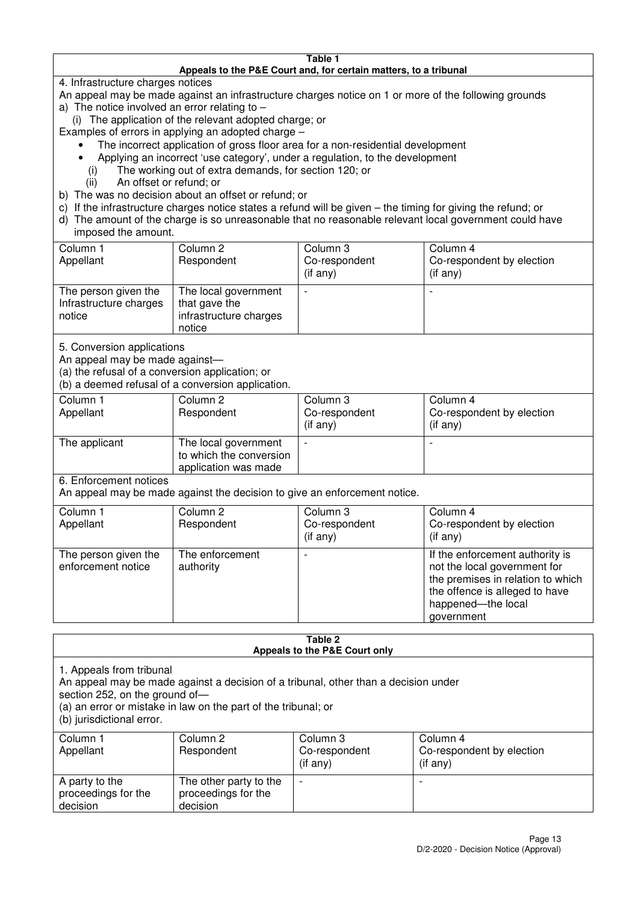#### **Table 1 Appeals to the P&E Court and, for certain matters, to a tribunal**

4. Infrastructure charges notices

- An appeal may be made against an infrastructure charges notice on 1 or more of the following grounds
- a) The notice involved an error relating to
	- (i) The application of the relevant adopted charge; or
- Examples of errors in applying an adopted charge
	- The incorrect application of gross floor area for a non-residential development
	- Applying an incorrect 'use category', under a regulation, to the development
	- (i) The working out of extra demands, for section 120; or
	- (ii) An offset or refund; or
- b) The was no decision about an offset or refund; or
- c) If the infrastructure charges notice states a refund will be given the timing for giving the refund; or
- d) The amount of the charge is so unreasonable that no reasonable relevant local government could have

# imposed the amount.

| Column 1<br>Appellant                                    | Column 2<br>Respondent                                                    | Column 3<br>Co-respondent<br>(if any) | Column 4<br>Co-respondent by election<br>$($ if any $)$ |
|----------------------------------------------------------|---------------------------------------------------------------------------|---------------------------------------|---------------------------------------------------------|
| The person given the<br>Infrastructure charges<br>notice | The local government<br>that gave the<br>infrastructure charges<br>notice |                                       |                                                         |

5. Conversion applications

An appeal may be made against—

(a) the refusal of a conversion application; or

(b) a deemed refusal of a conversion application.

| Column 1<br>Appellant | Column 2<br>Respondent                                                  | Column 3<br>Co-respondent<br>$($ if any $)$ | Column 4<br>Co-respondent by election<br>$($ if any $)$ |
|-----------------------|-------------------------------------------------------------------------|---------------------------------------------|---------------------------------------------------------|
| The applicant         | The local government<br>to which the conversion<br>application was made |                                             |                                                         |

6. Enforcement notices

An appeal may be made against the decision to give an enforcement notice.

| Column 1<br>Appellant                      | Column 2<br>Respondent       | Column 3<br>Co-respondent<br>$($ if any $)$ | Column 4<br>Co-respondent by election<br>$($ if any $)$                                                                                                                    |
|--------------------------------------------|------------------------------|---------------------------------------------|----------------------------------------------------------------------------------------------------------------------------------------------------------------------------|
| The person given the<br>enforcement notice | The enforcement<br>authority |                                             | If the enforcement authority is<br>not the local government for<br>the premises in relation to which<br>the offence is alleged to have<br>happened-the local<br>government |

#### **Table 2 Appeals to the P&E Court only**

1. Appeals from tribunal

An appeal may be made against a decision of a tribunal, other than a decision under

section 252, on the ground of-

(a) an error or mistake in law on the part of the tribunal; or

(b) jurisdictional error.

| Column 1<br>Appellant                             | Column 2<br>Respondent                                    | Column 3<br>Co-respondent<br>$($ if any $)$ | Column 4<br>Co-respondent by election<br>(i f any) |
|---------------------------------------------------|-----------------------------------------------------------|---------------------------------------------|----------------------------------------------------|
| A party to the<br>proceedings for the<br>decision | The other party to the<br>proceedings for the<br>decision | $\overline{\phantom{0}}$                    |                                                    |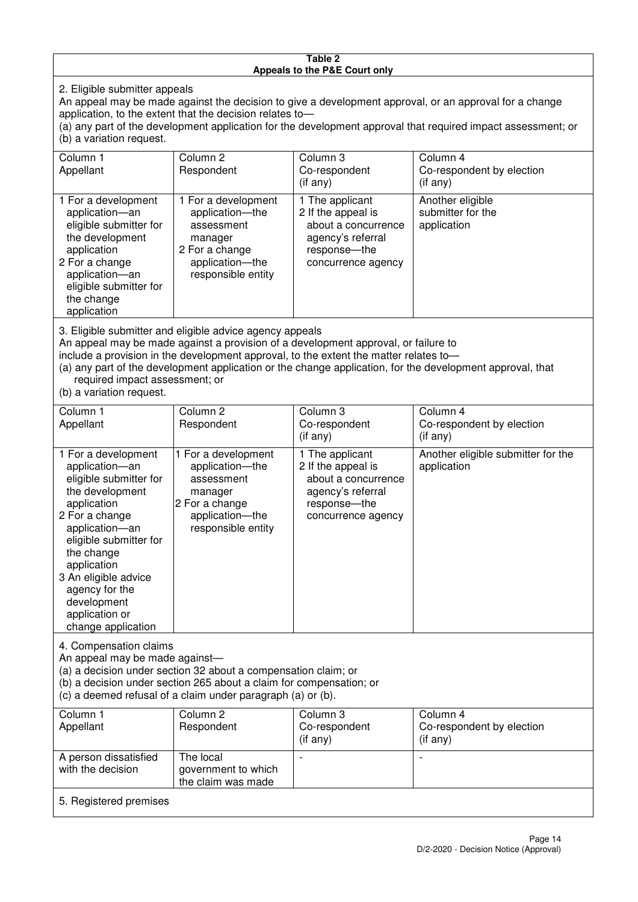#### **Table 2 Appeals to the P&E Court only**

2. Eligible submitter appeals

An appeal may be made against the decision to give a development approval, or an approval for a change application, to the extent that the decision relates to—

(a) any part of the development application for the development approval that required impact assessment; or (b) a variation request.

| Column 1                                                                                                                                                                                                                                                                                                                                                                               | Column 2                                                                                                                   | Column 3                                                                                                                | Column 4                                             |  |
|----------------------------------------------------------------------------------------------------------------------------------------------------------------------------------------------------------------------------------------------------------------------------------------------------------------------------------------------------------------------------------------|----------------------------------------------------------------------------------------------------------------------------|-------------------------------------------------------------------------------------------------------------------------|------------------------------------------------------|--|
| Appellant                                                                                                                                                                                                                                                                                                                                                                              | Respondent                                                                                                                 | Co-respondent                                                                                                           | Co-respondent by election                            |  |
|                                                                                                                                                                                                                                                                                                                                                                                        |                                                                                                                            | $($ if any $)$                                                                                                          | (i f any)                                            |  |
| 1 For a development<br>application-an<br>eligible submitter for<br>the development<br>application<br>2 For a change<br>application-an<br>eligible submitter for<br>the change<br>application                                                                                                                                                                                           | 1 For a development<br>application-the<br>assessment<br>manager<br>2 For a change<br>application-the<br>responsible entity | 1 The applicant<br>2 If the appeal is<br>about a concurrence<br>agency's referral<br>response-the<br>concurrence agency | Another eligible<br>submitter for the<br>application |  |
| 3. Eligible submitter and eligible advice agency appeals<br>An appeal may be made against a provision of a development approval, or failure to<br>include a provision in the development approval, to the extent the matter relates to-<br>(a) any part of the development application or the change application, for the development approval, that<br>required impact assessment; or |                                                                                                                            |                                                                                                                         |                                                      |  |

(b) a variation request.

with the decision

5. Registered premises

| Column 1<br>Appellant                                                                                                                                                                                                                                                                         | Column <sub>2</sub><br>Respondent                                                                                          | Column 3<br>Co-respondent<br>$(i$ f any)                                                                                | Column 4<br>Co-respondent by election<br>(i f any) |  |
|-----------------------------------------------------------------------------------------------------------------------------------------------------------------------------------------------------------------------------------------------------------------------------------------------|----------------------------------------------------------------------------------------------------------------------------|-------------------------------------------------------------------------------------------------------------------------|----------------------------------------------------|--|
| 1 For a development<br>application-an<br>eligible submitter for<br>the development<br>application<br>2 For a change<br>application-an<br>eligible submitter for<br>the change<br>application<br>3 An eligible advice<br>agency for the<br>development<br>application or<br>change application | 1 For a development<br>application-the<br>assessment<br>manager<br>2 For a change<br>application-the<br>responsible entity | 1 The applicant<br>2 If the appeal is<br>about a concurrence<br>agency's referral<br>response-the<br>concurrence agency | Another eligible submitter for the<br>application  |  |
| 4. Compensation claims<br>An appeal may be made against-<br>(a) a decision under section 32 about a compensation claim; or<br>(b) a decision under section 265 about a claim for compensation; or<br>(c) a deemed refusal of a claim under paragraph (a) or (b).                              |                                                                                                                            |                                                                                                                         |                                                    |  |
| Column <sub>1</sub>                                                                                                                                                                                                                                                                           | Column <sub>2</sub>                                                                                                        | Column 3                                                                                                                | Column 4                                           |  |
| Appellant                                                                                                                                                                                                                                                                                     | Respondent                                                                                                                 | Co-respondent<br>(if any)                                                                                               | Co-respondent by election<br>(if any)              |  |
| A person dissatisfied                                                                                                                                                                                                                                                                         | The local                                                                                                                  |                                                                                                                         |                                                    |  |

government to which the claim was made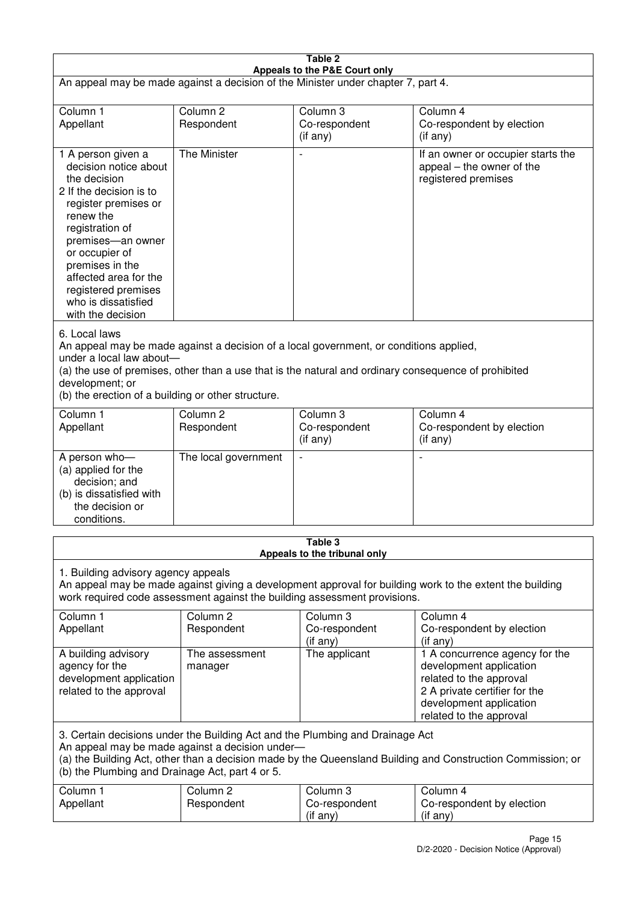| Table 2<br>Appeals to the P&E Court only                                                                                                                                                                                                                                                                             |                                   |                                         |                                                                                                                                                                             |  |
|----------------------------------------------------------------------------------------------------------------------------------------------------------------------------------------------------------------------------------------------------------------------------------------------------------------------|-----------------------------------|-----------------------------------------|-----------------------------------------------------------------------------------------------------------------------------------------------------------------------------|--|
| An appeal may be made against a decision of the Minister under chapter 7, part 4.                                                                                                                                                                                                                                    |                                   |                                         |                                                                                                                                                                             |  |
| Column 1<br>Appellant                                                                                                                                                                                                                                                                                                | Column <sub>2</sub><br>Respondent | Column 3<br>Co-respondent<br>(if any)   | Column 4<br>Co-respondent by election<br>$($ if any $)$                                                                                                                     |  |
| 1 A person given a<br>decision notice about<br>the decision<br>2 If the decision is to<br>register premises or<br>renew the<br>registration of<br>premises-an owner<br>or occupier of<br>premises in the<br>affected area for the<br>registered premises<br>who is dissatisfied<br>with the decision                 | The Minister                      |                                         | If an owner or occupier starts the<br>appeal – the owner of the<br>registered premises                                                                                      |  |
| 6. Local laws<br>An appeal may be made against a decision of a local government, or conditions applied,<br>under a local law about-<br>(a) the use of premises, other than a use that is the natural and ordinary consequence of prohibited<br>development; or<br>(b) the erection of a building or other structure. |                                   |                                         |                                                                                                                                                                             |  |
| Column 1<br>Appellant                                                                                                                                                                                                                                                                                                | Column <sub>2</sub><br>Respondent | Column 3<br>Co-respondent<br>(if any)   | Column 4<br>Co-respondent by election<br>(if any)                                                                                                                           |  |
| A person who-<br>(a) applied for the<br>decision; and<br>(b) is dissatisfied with<br>the decision or<br>conditions.                                                                                                                                                                                                  | The local government              | $\overline{\phantom{a}}$                |                                                                                                                                                                             |  |
|                                                                                                                                                                                                                                                                                                                      |                                   | Table 3<br>Appeals to the tribunal only |                                                                                                                                                                             |  |
| 1. Building advisory agency appeals<br>An appeal may be made against giving a development approval for building work to the extent the building<br>work required code assessment against the building assessment provisions.                                                                                         |                                   |                                         |                                                                                                                                                                             |  |
| Column <sub>1</sub><br>Appellant                                                                                                                                                                                                                                                                                     | Column <sub>2</sub><br>Respondent | Column 3<br>Co-respondent<br>(if any)   | Column 4<br>Co-respondent by election<br>(if any)                                                                                                                           |  |
| A building advisory<br>agency for the<br>development application<br>related to the approval                                                                                                                                                                                                                          | The assessment<br>manager         | The applicant                           | 1 A concurrence agency for the<br>development application<br>related to the approval<br>2 A private certifier for the<br>development application<br>related to the approval |  |
| 3. Certain decisions under the Building Act and the Plumbing and Drainage Act<br>An appeal may be made against a decision under-<br>(a) the Building Act, other than a decision made by the Queensland Building and Construction Commission; or<br>(b) the Plumbing and Drainage Act, part 4 or 5.                   |                                   |                                         |                                                                                                                                                                             |  |
| Column 1<br>Appellant                                                                                                                                                                                                                                                                                                | Column <sub>2</sub><br>Respondent | Column 3<br>Co-respondent<br>(if any)   | Column 4<br>Co-respondent by election<br>(if any)                                                                                                                           |  |